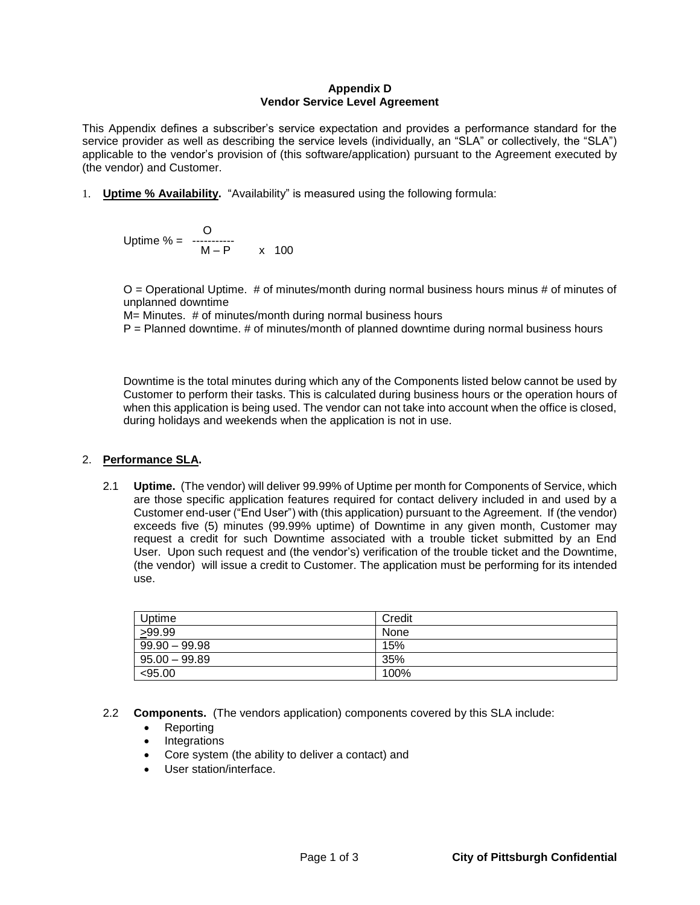### **Appendix D Vendor Service Level Agreement**

This Appendix defines a subscriber's service expectation and provides a performance standard for the service provider as well as describing the service levels (individually, an "SLA" or collectively, the "SLA") applicable to the vendor's provision of (this software/application) pursuant to the Agreement executed by (the vendor) and Customer.

1. **Uptime % Availability.** "Availability" is measured using the following formula:

 O Uptime % = ----------- M – P x 100

O = Operational Uptime. # of minutes/month during normal business hours minus # of minutes of unplanned downtime

M= Minutes. # of minutes/month during normal business hours

P = Planned downtime. # of minutes/month of planned downtime during normal business hours

Downtime is the total minutes during which any of the Components listed below cannot be used by Customer to perform their tasks. This is calculated during business hours or the operation hours of when this application is being used. The vendor can not take into account when the office is closed, during holidays and weekends when the application is not in use.

## 2. **Performance SLA.**

2.1 **Uptime.** (The vendor) will deliver 99.99% of Uptime per month for Components of Service, which are those specific application features required for contact delivery included in and used by a Customer end-user ("End User") with (this application) pursuant to the Agreement. If (the vendor) exceeds five (5) minutes (99.99% uptime) of Downtime in any given month, Customer may request a credit for such Downtime associated with a trouble ticket submitted by an End User. Upon such request and (the vendor's) verification of the trouble ticket and the Downtime, (the vendor) will issue a credit to Customer. The application must be performing for its intended use.

| Uptime          | Credit |
|-----------------|--------|
| >99.99          | None   |
| $99.90 - 99.98$ | 15%    |
| $95.00 - 99.89$ | 35%    |
| <95.00          | 100%   |

- 2.2 **Components.** (The vendors application) components covered by this SLA include:
	- Reporting
	- Integrations
	- Core system (the ability to deliver a contact) and
	- User station/interface.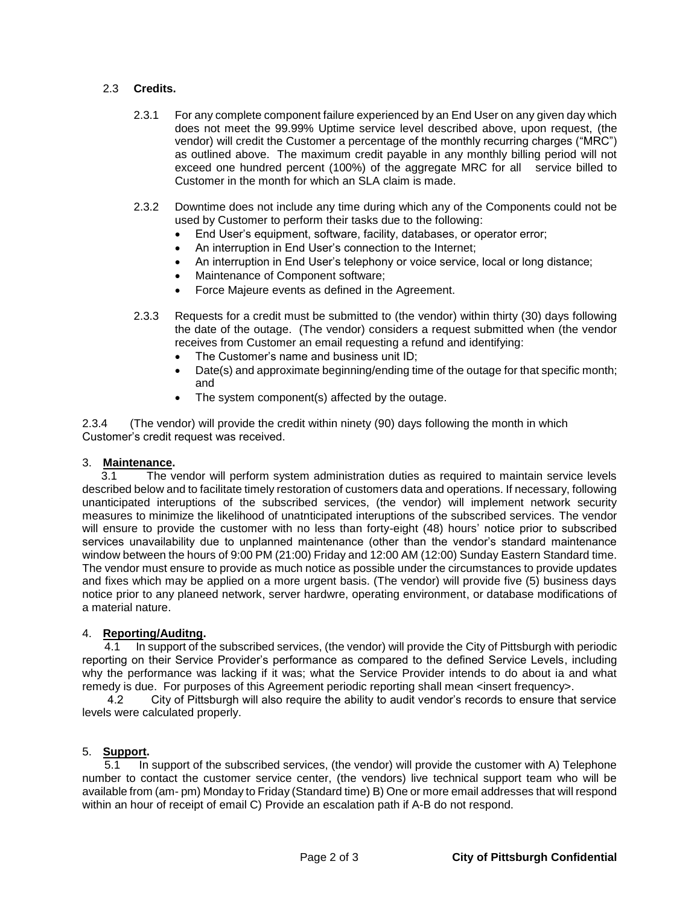## 2.3 **Credits.**

- 2.3.1 For any complete component failure experienced by an End User on any given day which does not meet the 99.99% Uptime service level described above, upon request, (the vendor) will credit the Customer a percentage of the monthly recurring charges ("MRC") as outlined above. The maximum credit payable in any monthly billing period will not exceed one hundred percent (100%) of the aggregate MRC for all service billed to Customer in the month for which an SLA claim is made.
- 2.3.2 Downtime does not include any time during which any of the Components could not be used by Customer to perform their tasks due to the following:
	- End User's equipment, software, facility, databases, or operator error;
	- An interruption in End User's connection to the Internet;
	- An interruption in End User's telephony or voice service, local or long distance;
	- Maintenance of Component software;
	- Force Majeure events as defined in the Agreement.
- 2.3.3 Requests for a credit must be submitted to (the vendor) within thirty (30) days following the date of the outage. (The vendor) considers a request submitted when (the vendor receives from Customer an email requesting a refund and identifying:
	- The Customer's name and business unit ID;
	- Date(s) and approximate beginning/ending time of the outage for that specific month; and
	- The system component(s) affected by the outage.

2.3.4 (The vendor) will provide the credit within ninety (90) days following the month in which Customer's credit request was received.

#### 3. **Maintenance.**

 3.1 The vendor will perform system administration duties as required to maintain service levels described below and to facilitate timely restoration of customers data and operations. If necessary, following unanticipated interuptions of the subscribed services, (the vendor) will implement network security measures to minimize the likelihood of unatnticipated interuptions of the subscribed services. The vendor will ensure to provide the customer with no less than forty-eight (48) hours' notice prior to subscribed services unavailability due to unplanned maintenance (other than the vendor's standard maintenance window between the hours of 9:00 PM (21:00) Friday and 12:00 AM (12:00) Sunday Eastern Standard time. The vendor must ensure to provide as much notice as possible under the circumstances to provide updates and fixes which may be applied on a more urgent basis. (The vendor) will provide five (5) business days notice prior to any planeed network, server hardwre, operating environment, or database modifications of a material nature.

#### 4. **Reporting/Auditng.**

4.1 In support of the subscribed services, (the vendor) will provide the City of Pittsburgh with periodic reporting on their Service Provider's performance as compared to the defined Service Levels, including why the performance was lacking if it was; what the Service Provider intends to do about ia and what remedy is due. For purposes of this Agreement periodic reporting shall mean <insert frequency>.

 4.2 City of Pittsburgh will also require the ability to audit vendor's records to ensure that service levels were calculated properly.

#### 5. **Support.**

5.1 In support of the subscribed services, (the vendor) will provide the customer with A) Telephone number to contact the customer service center, (the vendors) live technical support team who will be available from (am- pm) Monday to Friday (Standard time) B) One or more email addresses that will respond within an hour of receipt of email C) Provide an escalation path if A-B do not respond.